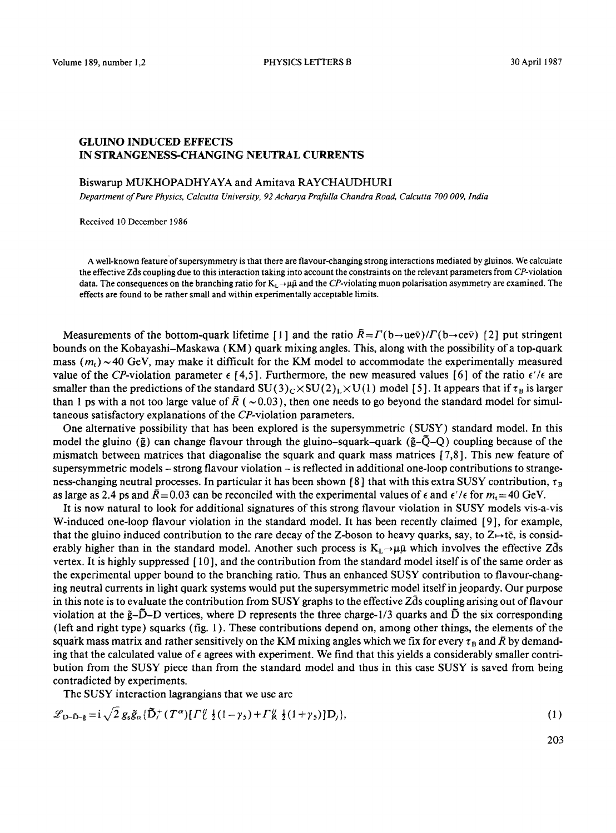## GLUINO INDUCED EFFECTS IN STRANGENESS-CHANGING NEUTRAL CURRENTS

## Biswarup MUKHOPADHYAYA and Amitava RAYCHAUDHURI

*Department of Pure Physics, Calcutta University, 92 Acharya Prafulla Chandra Road, Calcutta 700 009, India* 

Received 10 December 1986

A well-known feature of supersymmetry is that there are flavour-changing strong interactions mediated by gluinos. We calculate the effective Zds coupling due to this interaction taking into account the constraints on the relevant parameters from CP-violation data. The consequences on the branching ratio for  $K_1 \rightarrow \mu\bar{\mu}$  and the CP-violating muon polarisation asymmetry are examined. The effects are found to be rather small and within experimentally acceptable limits.

Measurements of the bottom-quark lifetime [1] and the ratio  $\bar{R} = \Gamma(b \to u e \bar{v})/\Gamma(b \to c e \bar{v})$  [2] put stringent bounds on the Kobayashi-Maskawa (KM) quark mixing angles. This, along with the possibility of a top-quark mass ( $m_t$ ) ~ 40 GeV, may make it difficult for the KM model to accommodate the experimentally measured value of the CP-violation parameter  $\epsilon$  [4,5]. Furthermore, the new measured values [6] of the ratio  $\epsilon'/\epsilon$  are smaller than the predictions of the standard  $SU(3)_C \times SU(2)_L \times U(1)$  model [5]. It appears that if  $\tau_B$  is larger than 1 ps with a not too large value of  $\bar{R}$  ( ~ 0.03), then one needs to go beyond the standard model for simultaneous satisfactory explanations of the CP-violation parameters.

One alternative possibility that has been explored is the supersymmetric (SUSY) standard model. In this model the gluino ( $\tilde{g}$ ) can change flavour through the gluino-squark-quark ( $\tilde{g}-\tilde{Q}-Q$ ) coupling because of the mismatch between matrices that diagonalise the squark and quark mass matrices  $[7,8]$ . This new feature of supersymmetric models - strong flavour violation - is reflected in additional one-loop contributions to strangeness-changing neutral processes. In particular it has been shown [8] that with this extra SUSY contribution,  $\tau_B$ as large as 2.4 ps and  $\bar{R}$  = 0.03 can be reconciled with the experimental values of  $\epsilon$  and  $\epsilon'/\epsilon$  for  $m_1 = 40$  GeV.

It is now natural to look for additional signatures of this strong favour violation in SUSY models vis-a-vis W-induced one-loop flavour violation in the standard model. It has been recently claimed [9], for example, that the gluino induced contribution to the rare decay of the Z-boson to heavy quarks, say, to  $Z \mapsto t\bar{c}$ , is considerably higher than in the standard model. Another such process is  $K_L \rightarrow \mu \bar{\mu}$  which involves the effective Zds vertex. It is highly suppressed [ 10], and the contribution from the standard model itself is of the same order as the experimental upper bound to the branching ratio. Thus an enhanced SUSY contribution to flavour-changing neutral currents in light quark systems would put the supersymmetric model itself in jeopardy. Our purpose in this note is to evaluate the contribution from SUSY graphs to the effective Zds coupling arising out of flavour violation at the  $\tilde{g}-\tilde{D}-D$  vertices, where D represents the three charge- $1/3$  quarks and  $\tilde{D}$  the six corresponding (left and right type) squarks (fig. ! ). These contributions depend on, among other things, the elements of the squark mass matrix and rather sensitively on the KM mixing angles which we fix for every  $\tau_B$  and  $\bar{R}$  by demanding that the calculated value of  $\epsilon$  agrees with experiment. We find that this yields a considerably smaller contribution from the SUSY piece than from the standard model and thus in this case SUSY is saved from being contradicted by experiments.

The SUSY interaction lagrangians that we use are

$$
\mathcal{L}_{D-\tilde{D}-\tilde{g}} = i \sqrt{2} g_s \tilde{g}_{\alpha} {\{\tilde{D}_i^+(T^{\alpha})[{\Gamma}_i^{\tilde{U}} \frac{1}{2}(1-\gamma_s) + {\Gamma}_k^{\tilde{U}} \frac{1}{2}(1+\gamma_s)]D_j\}},
$$
\n(1)

203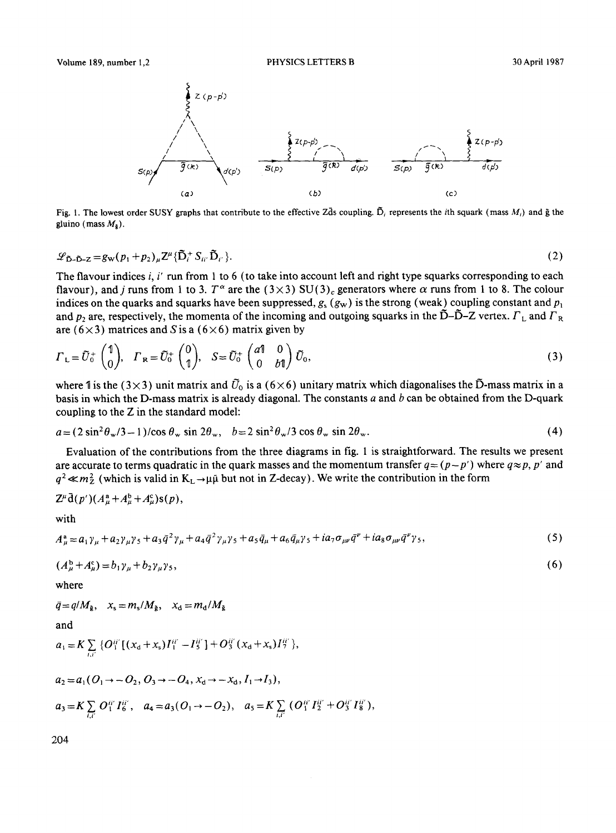

Fig. 1. The lowest order SUSY graphs that contribute to the effective Zds coupling.  $\tilde{D}_i$  represents the *i*th squark (mass  $M_i$ ) and  $\tilde{g}$  the gluino (mass  $M_{\rm a}$ ).

$$
\mathscr{L}_{\tilde{D}-\tilde{D}-Z} = g_{\mathbf{W}}(p_1 + p_2)_{\mu} Z^{\mu} {\{\tilde{D}_i^+ S_{ii'} \tilde{D}_{i'}\}}.
$$
\n
$$
(2)
$$

The flavour indices i, i' run from 1 to 6 (to take into account left and right type squarks corresponding to each flavour), and j runs from 1 to 3. T<sup> $\alpha$ </sup> are the (3×3) SU(3)<sub>c</sub> generators where  $\alpha$  runs from 1 to 8. The colour indices on the quarks and squarks have been suppressed,  $g_s$  ( $g_w$ ) is the strong (weak) coupling constant and  $p_1$ and  $p_2$  are, respectively, the momenta of the incoming and outgoing squarks in the  $\tilde{D}-\tilde{D}-Z$  vertex.  $\Gamma_L$  and  $\Gamma_R$ are ( $6 \times 3$ ) matrices and S is a ( $6 \times 6$ ) matrix given by

$$
\Gamma_{\mathsf{L}} = \tilde{U}_0^+ \begin{pmatrix} 1 \\ 0 \end{pmatrix}, \quad \Gamma_{\mathsf{R}} = \tilde{U}_0^+ \begin{pmatrix} 0 \\ 1 \end{pmatrix}, \quad S = \tilde{U}_0^+ \begin{pmatrix} a_1^0 & 0 \\ 0 & b_1^0 \end{pmatrix} \tilde{U}_0, \tag{3}
$$

where 1 is the (3×3) unit matrix and  $\tilde{U}_0$  is a (6×6) unitary matrix which diagonalises the  $\tilde{D}$ -mass matrix in a basis in which the D-mass matrix is already diagonal. The constants  $a$  and  $b$  can be obtained from the D-quark coupling to the Z in the standard model:

$$
a = (2\sin^2\theta_w/3 - 1)/\cos\theta_w \sin 2\theta_w, \quad b = 2\sin^2\theta_w/3 \cos\theta_w \sin 2\theta_w. \tag{4}
$$

Evaluation of the contributions from the three diagrams in fig. 1 is straightforward. The results we present are accurate to terms quadratic in the quark masses and the momentum transfer  $q = (p-p')$  where  $q \approx p$ , p' and  $q^2 \ll m_Z^2$  (which is valid in  $K_L \rightarrow \mu \bar{\mu}$  but not in Z-decay). We write the contribution in the form

$$
Z^{\mu}\bar{\mathrm{d}}(p^{\prime})(A_{\mu}^{\mathrm{a}}+A_{\mu}^{\mathrm{b}}+A_{\mu}^{\mathrm{c}})\mathrm{s}(p),
$$

with

$$
A^a_\mu = a_1 \gamma_\mu + a_2 \gamma_\mu \gamma_5 + a_3 \bar{q}^2 \gamma_\mu + a_4 \bar{q}^2 \gamma_\mu \gamma_5 + a_5 \bar{q}_\mu + a_6 \bar{q}_\mu \gamma_5 + i a_7 \sigma_{\mu\nu} \bar{q}^\nu + i a_8 \sigma_{\mu\nu} \bar{q}^\nu \gamma_5,
$$
\n<sup>(5)</sup>

$$
(A_{\mu}^{\mathbf{b}} + A_{\mu}^{\mathbf{c}}) = b_1 \gamma_{\mu} + b_2 \gamma_{\mu} \gamma_{5},\tag{6}
$$

where

$$
\bar{q} = q/M_{\tilde{g}}, \quad x_s = m_s/M_{\tilde{g}}, \quad x_d = m_d/M_{\tilde{g}}
$$

and

$$
a_1 = K \sum_{i,i'} \{ O_1^{ii'} \left[ (x_d + x_s) I_1^{ii'} - I_5^{ii'} \right] + O_3^{ii'} (x_d + x_s) I_7^{ii'} \},
$$

$$
a_2 = a_1(O_1 \rightarrow -O_2, O_3 \rightarrow -O_4, x_d \rightarrow -x_d, I_1 \rightarrow I_3),
$$
  
\n
$$
a_3 = K \sum_{i,i'} O_1^{ii'} I_6^{ii'}, \quad a_4 = a_3(O_1 \rightarrow -O_2), \quad a_5 = K \sum_{i,i'} (O_1^{ii'} I_2^{ii'} + O_3^{ii'} I_8^{ii'}),
$$

204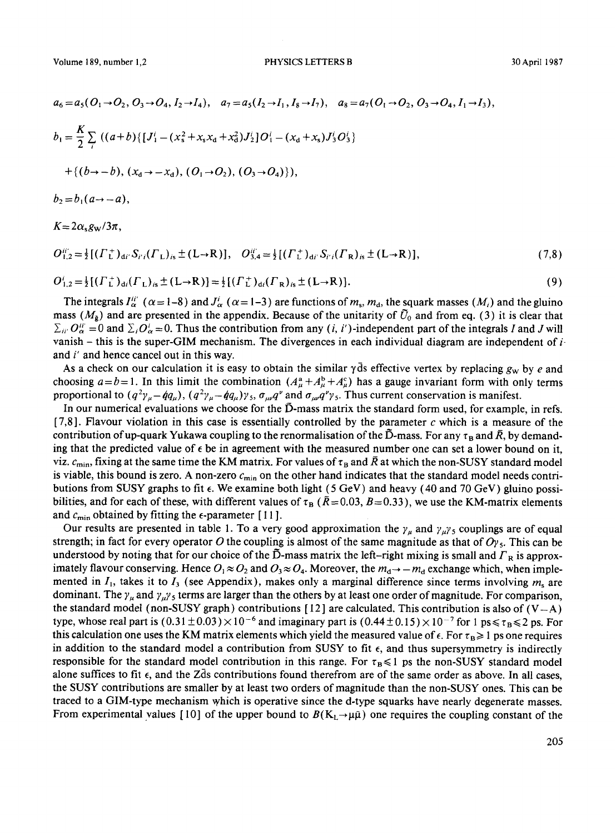$$
a_6 = a_5(O_1 \rightarrow O_2, O_3 \rightarrow O_4, I_2 \rightarrow I_4), \quad a_7 = a_5(I_2 \rightarrow I_1, I_8 \rightarrow I_7), \quad a_8 = a_7(O_1 \rightarrow O_2, O_3 \rightarrow O_4, I_1 \rightarrow I_3),
$$
  
\n
$$
b_1 = \frac{K}{2} \sum_i ((a+b)\{[J_1^i - (x_s^2 + x_s x_d + x_d^2)J_2^i\}O_1^i - (x_d + x_s)J_3^iO_3^i)
$$
  
\n
$$
+ \{(b \rightarrow -b), (x_d \rightarrow -x_d), (O_1 \rightarrow O_2), (O_3 \rightarrow O_4)\}),
$$

 $b_2 = b_1 (a \rightarrow -a),$ 

 $K = 2\alpha_s g_{\rm w}/3\pi$ ,

$$
O_{1,2}^{ii'} = \frac{1}{2} [( \Gamma_L^+)_{di'} S_{i'i} (\Gamma_L)_{is} \pm (L \to R) ], \quad O_{3,4}^{ii'} = \frac{1}{2} [( \Gamma_L^+)_{di'} S_{i'i} (\Gamma_R)_{is} \pm (L \to R) ], \tag{7,8}
$$

$$
O_{1,2}^{i} = \frac{1}{2} [( \Gamma_L^+)_{ai} (\Gamma_L)_{is} \pm (L \to R) ] = \frac{1}{2} [( \Gamma_L^+)_{ai} (\Gamma_R)_{is} \pm (L \to R) ]. \tag{9}
$$

The integrals  $I_{\alpha}^{ii'}$  ( $\alpha = 1-8$ ) and  $J_{\alpha}^{i}$  ( $\alpha = 1-3$ ) are functions of m<sub>s</sub>, m<sub>d</sub>, the squark masses (M<sub>i</sub>) and the gluino mass ( $M_{\rm g}$ ) and are presented in the appendix. Because of the unitarity of  $\tilde{U}_0$  and from eq. (3) it is clear that  $\Sigma_{ii'}$   $O_{\alpha}^{ii'} = 0$  and  $\Sigma_i O_{\alpha}^i = 0$ . Thus the contribution from any (*i*, *i'*)-independent part of the integrals I and J will vanish – this is the super-GIM mechanism. The divergences in each individual diagram are independent of  $i$ and i' and hence cancel out in this way.

As a check on our calculation it is easy to obtain the similar  $\gamma$  ds effective vertex by replacing  $g_w$  by e and choosing  $a=b=1$ . In this limit the combination  $(A_a^a + A_a^b + A_a^c)$  has a gauge invariant form with only terms proportional to  $(q^2 \gamma_\mu - \dot{q}q_\mu)$ ,  $(q^2 \gamma_\mu - \dot{q}q_\mu) \gamma_5$ ,  $\sigma_{\mu\nu}q^{\nu}$  and  $\sigma_{\mu\nu}q^{\nu} \gamma_5$ . Thus current conservation is manifest.

In our numerical evaluations we choose for the  $\bar{D}$ -mass matrix the standard form used, for example, in refs. [7,8]. Flavour violation in this case is essentially controlled by the parameter c which is a measure of the contribution of up-quark Yukawa coupling to the renormalisation of the  $\tilde{D}$ -mass. For any  $\tau_B$  and  $\bar{R}$ , by demanding that the predicted value of  $\epsilon$  be in agreement with the measured number one can set a lower bound on it, viz.  $c_{\text{min}}$ , fixing at the same time the KM matrix. For values of  $\tau_B$  and  $\bar{R}$  at which the non-SUSY standard model is viable, this bound is zero. A non-zero  $c_{\min}$  on the other hand indicates that the standard model needs contributions from SUSY graphs to fit  $\epsilon$ . We examine both light (5 GeV) and heavy (40 and 70 GeV) gluino possibilities, and for each of these, with different values of  $\tau_B$  ( $\bar{R}$  = 0.03,  $B$  = 0.33), we use the KM-matrix elements and  $c_{\min}$  obtained by fitting the  $\epsilon$ -parameter [11].

Our results are presented in table 1. To a very good approximation the  $\gamma_\mu$  and  $\gamma_\mu \gamma_5$  couplings are of equal strength; in fact for every operator O the coupling is almost of the same magnitude as that of  $O<sub>Y5</sub>$ . This can be understood by noting that for our choice of the  $\bar{D}$ -mass matrix the left-right mixing is small and  $\Gamma_R$  is approximately flavour conserving. Hence  $O_1 \approx O_2$  and  $O_3 \approx O_4$ . Moreover, the  $m_d \rightarrow -m_d$  exchange which, when implemented in  $I_1$ , takes it to  $I_3$  (see Appendix), makes only a marginal difference since terms involving  $m_s$  are dominant. The  $\gamma_{\mu}$  and  $\gamma_{\mu}\gamma_{5}$  terms are larger than the others by at least one order of magnitude. For comparison, the standard model (non-SUSY graph) contributions [12] are calculated. This contribution is also of  $(V-A)$ type, whose real part is  $(0.31 \pm 0.03) \times 10^{-6}$  and imaginary part is  $(0.44 \pm 0.15) \times 10^{-7}$  for 1 ps  $\le \tau_B \le 2$  ps. For this calculation one uses the KM matrix elements which yield the measured value of  $\epsilon$ . For  $\tau_B \geq 1$  ps one requires in addition to the standard model a contribution from SUSY to fit  $\epsilon$ , and thus supersymmetry is indirectly responsible for the standard model contribution in this range. For  $\tau_B \leq 1$  ps the non-SUSY standard model alone suffices to fit  $\epsilon$ , and the Zds contributions found therefrom are of the same order as above. In all cases, the SUSY contributions are smaller by at least two orders of magnitude than the non-SUSY ones. This can be traced to a GIM-type mechanism which is operative since the d-type squarks have nearly degenerate masses. From experimental values [10] of the upper bound to  $B(K_L \rightarrow \mu\bar{\mu})$  one requires the coupling constant of the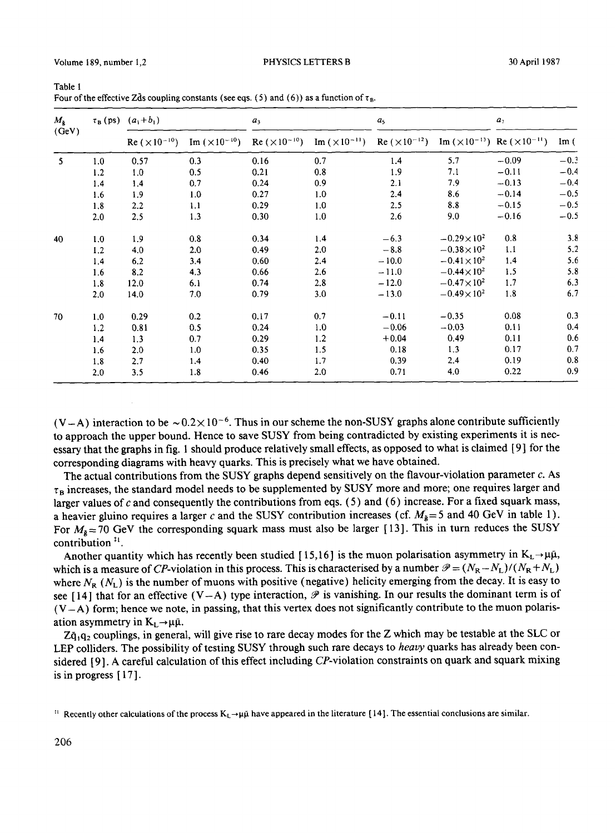Volume 189, number 1,2 PHYSICS LETTERS B

| $M_{\star}$<br>(GeV) |     | $\tau_{B}$ (ps) $(a_{1} + b_{1})$ |                        | a <sub>3</sub> |                                                                      | a <sub>5</sub> |                       | a <sub>7</sub>                                |        |
|----------------------|-----|-----------------------------------|------------------------|----------------|----------------------------------------------------------------------|----------------|-----------------------|-----------------------------------------------|--------|
|                      |     | $Re (×10^{-10})$                  | Im $(\times 10^{-10})$ |                | Re $(\times 10^{-10})$ Im $(\times 10^{-11})$ Re $(\times 10^{-12})$ |                |                       | Im $(\times 10^{-13})$ Re $(\times 10^{-11})$ | Im(    |
| $\mathbf{5}$         | 1.0 | 0.57                              | 0.3                    | 0.16           | 0.7                                                                  | 1.4            | 5.7                   | $-0.09$                                       | $-0.3$ |
|                      | 1.2 | 1.0                               | 0.5                    | 0.21           | 0.8                                                                  | 1.9            | 7.1                   | $-0.11$                                       | $-0.4$ |
|                      | 1.4 | 1.4                               | 0.7                    | 0.24           | 0.9                                                                  | 2.1            | 7.9                   | $-0.13$                                       | $-0.4$ |
|                      | 1.6 | 1.9                               | 1.0                    | 0.27           | 1.0                                                                  | 2.4            | 8.6                   | $-0.14$                                       | $-0.5$ |
|                      | 1,8 | 2.2                               | 1.1                    | 0.29           | 1.0                                                                  | 2.5            | 8.8                   | $-0.15$                                       | $-0.5$ |
|                      | 2,0 | 2.5                               | 1.3                    | 0.30           | 1.0                                                                  | 2.6            | 9.0                   | $-0.16$                                       | $-0.5$ |
| 40                   | 1.0 | 1.9                               | 0.8                    | 0.34           | 1.4                                                                  | $-6.3$         | $-0.29\times10^{2}$   | 0.8                                           | 3.8    |
|                      | 1.2 | 4.0                               | 2.0                    | 0.49           | 2.0                                                                  | $-8.8$         | $-0.38\times10^{2}$   | 1.1                                           | 5.2    |
|                      | 1.4 | 6.2                               | 3.4                    | 0.60           | 2.4                                                                  | $-10.0$        | $-0.41 \times 10^{2}$ | 1.4                                           | 5.6    |
|                      | 1.6 | 8.2                               | 4.3                    | 0.66           | 2.6                                                                  | $-11.0$        | $-0.44 \times 10^{2}$ | 1.5                                           | 5.8    |
|                      | 1.8 | 12.0                              | 6.1                    | 0.74           | 2,8                                                                  | $-12.0$        | $-0.47\times10^{2}$   | 1.7                                           | 6.3    |
|                      | 2.0 | 14.0                              | 7.0                    | 0.79           | 3.0                                                                  | $-13.0$        | $-0.49\times10^{2}$   | 1.8                                           | 6.7    |
| 70                   | 1.0 | 0.29                              | 0.2                    | 0.17           | 0.7                                                                  | $-0.11$        | $-0.35$               | 0.08                                          | 0.3    |
|                      | 1.2 | 0.81                              | 0.5                    | 0.24           | 1.0                                                                  | $-0.06$        | $-0.03$               | 0.11                                          | 0.4    |
|                      | 1.4 | 1.3                               | 0.7                    | 0.29           | 1.2                                                                  | $+0.04$        | 0.49                  | 0.11                                          | 0.6    |
|                      | 1,6 | 2.0                               | 1.0                    | 0.35           | 1.5                                                                  | 0.18           | 1.3                   | 0.17                                          | 0.7    |
|                      | 1.8 | 2.7                               | 1.4                    | 0.40           | 1.7                                                                  | 0.39           | 2.4                   | 0.19                                          | 0.8    |
|                      | 2.0 | 3.5                               | 1.8                    | 0.46           | 2.0                                                                  | 0.71           | 4.0                   | 0.22                                          | 0.9    |

| Table 1                                                                                           |
|---------------------------------------------------------------------------------------------------|
| Four of the effective Zds coupling constants (see eqs. (5) and (6)) as a function of $\tau_{B}$ . |

(V-A) interaction to be  $\sim 0.2 \times 10^{-6}$ . Thus in our scheme the non-SUSY graphs alone contribute sufficiently to approach the upper bound. Hence to save SUSY from being contradicted by existing experiments it is necessary that the graphs in fig. 1 should produce relatively small effects, as opposed to what is claimed [ 9 ] for the corresponding diagrams with heavy quarks. This is precisely what we have obtained.

The actual contributions from the SUSY graphs depend sensitively on the flavour-violation parameter  $c$ . As  $\tau_B$  increases, the standard model needs to be supplemented by SUSY more and more; one requires larger and larger values of  $c$  and consequently the contributions from eqs. (5) and (6) increase. For a fixed squark mass, a heavier gluino requires a larger c and the SUSY contribution increases (cf.  $M_{\tilde{g}} = 5$  and 40 GeV in table 1). For  $M_{\tilde{\theta}} = 70$  GeV the corresponding squark mass must also be larger [13]. This in turn reduces the SUSY contribution $11$ .

Another quantity which has recently been studied [15,16] is the muon polarisation asymmetry in  $K_L \rightarrow \mu \bar{\mu}$ , which is a measure of CP-violation in this process. This is characterised by a number  $\mathcal{P} = (N_R - N_L)/(N_R + N_L)$ where  $N_R$  ( $N_L$ ) is the number of muons with positive (negative) helicity emerging from the decay. It is easy to see [14] that for an effective  $(V-A)$  type interaction,  $\mathscr P$  is vanishing. In our results the dominant term is of  $(V-A)$  form; hence we note, in passing, that this vertex does not significantly contribute to the muon polarisation asymmetry in  $K_t \rightarrow \mu \bar{\mu}$ .

 $Z\bar{q}_1q_2$  couplings, in general, will give rise to rare decay modes for the Z which may be testable at the SLC or LEP colliders. The possibility of testing SUSY through such rare decays to *heavy* quarks has already been considered [9]. A careful calculation of this effect including CP-violation constraints on quark and squark mixing is in progress [ 17 ].

<sup>:</sup> Recently other calculations of the process  $K_L \rightarrow \mu\bar{\mu}$  have appeared in the literature [14]. The essential conclusions are similar.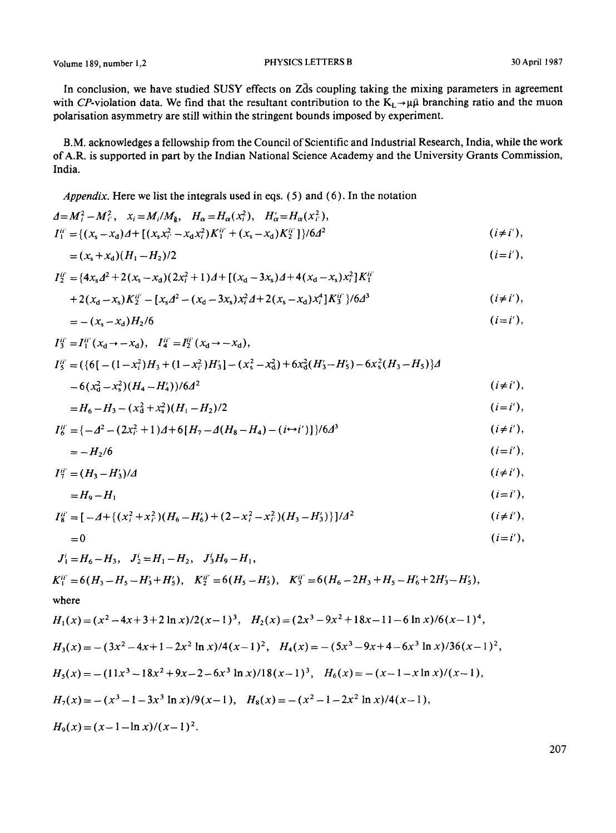Volume 189, number 1,2 **PHYSICS LETTERS B** 30 April 1987

In conclusion, we have studied SUSY effects on Zds coupling taking the mixing parameters in agreement with CP-violation data. We find that the resultant contribution to the  $K_L \rightarrow \mu \bar{\mu}$  branching ratio and the muon polarisation asymmetry are still within the stringent bounds imposed by experiment.

B.M. acknowledges a fellowship from the Council of Scientific and Industrial Research, India, while the work of A.R. is supported in part by the Indian National Science Academy and the University Grants Commission, India.

*Appendix.* Here we list the integrals used in **eqs. (5) and (6).** In the notation

$$
A = M_i^2 - M_i^2, \quad x_i = M_i / M_{\tilde{g}}, \quad H_\alpha = H_\alpha(x_i^2), \quad H'_\alpha = H_\alpha(x_i^2),
$$
  
\n
$$
I_1^{ii'} = \{ (x_s - x_d)A + [(x_s x_i^2 - x_d x_i^2)K_1^{ii'} + (x_s - x_d)K_2^{ii'}] \} / 6d^2
$$
 (*i \neq i'*),  
\n
$$
= (x_s + x_d)(H_1 - H_2) / 2
$$
 (*i = i'*),  
\n
$$
I_2^{ii'} = \{ 4x_s A^2 + 2(x_s - x_d)(2x_i^2 + 1)A + [(x_d - 3x_s)A + 4(x_d - x_s)x_i^2]K_1^{ii'}
$$
  
\n
$$
+ 2(x_d - x_s)K_2^{ii'} - [x_s A^2 - (x_d - 3x_s)x_i^2 A + 2(x_s - x_d)x_i^4]K_3^{ii'} \} / 6d^3
$$
 (*i \neq i'*),  
\n
$$
= -(x_s - x_d)H_2 / 6
$$
 (*i = i'*),  
\n
$$
I_3^{ii'} = I_1^{ii'} (x_d \rightarrow -x_d), \quad I_4^{iii'} = I_2^{ii'} (x_d \rightarrow -x_d),
$$
  
\n
$$
I_5^{ii'} = (\{6[-(1 - x_i^2)H_3 + (1 - x_i^2)H_3'] - (x_s^2 - x_d^2) + 6x_d^2(H_3' - H_5') - 6x_s^2(H_3 - H_5)\}d
$$

$$
-6(x_0^2-x_s^2)(H_4-H_4')/6d^2 \qquad (i \neq i'),
$$

$$
=H_6-H_3-(x_d^2+x_s^2)(H_1-H_2)/2
$$
 (i=i'),

$$
I_6^{ii'} = \{-\Delta^2 - (2x_{i'}^2 + 1)\Delta + 6[H_7 - \Delta(H_8 - H_4) - (i \leftrightarrow i')] \}/6\Delta^3
$$
  $(i \neq i'),$ 

$$
=-H_2/6 \qquad (i=i'),
$$

$$
I_7^{ii'} = (H_3 - H_3')/\Delta \qquad (i \neq i'),
$$

$$
=H_9-H_1 \qquad (i=i'),
$$

$$
I_8^{ii'} = [-\Delta + \{(x_i^2 + x_{i'}^2)(H_6 - H_6') + (2 - x_i^2 - x_{i'}^2)(H_3 - H_3')\}]/\Delta^2
$$
   
 (*i* \ne *i'*),

$$
=0 \qquad (i=i'),
$$

$$
J_1^i = H_6 - H_3, \quad J_2^i = H_1 - H_2, \quad J_3^i H_9 - H_1,
$$
  
\n
$$
K_1^{ii'} = 6(H_3 - H_5 - H_3' + H_5'), \quad K_2^{ii'} = 6(H_5 - H_5'), \quad K_3^{ii'} = 6(H_6 - 2H_3 + H_5 - H_6' + 2H_3' - H_5'),
$$
  
\nwhere  
\n
$$
H_1(x) = (x^2 - 4x + 3 + 2 \ln x)/2(x - 1)^3, \quad H_2(x) = (2x^3 - 9x^2 + 18x - 11 - 6 \ln x)/6(x - 1)^4,
$$
  
\n
$$
H_3(x) = -(3x^2 - 4x + 1 - 2x^2 \ln x)/4(x - 1)^2, \quad H_4(x) = -(5x^3 - 9x + 4 - 6x^3 \ln x)/36(x - 1)^2,
$$

$$
H_5(x) = -(11x^3 - 18x^2 + 9x - 2 - 6x^3 \ln x)/18(x-1)^3, \quad H_6(x) = -(x-1-x\ln x)/(x-1),
$$

$$
H_7(x) = -(x^3 - 1 - 3x^3 \ln x)/9(x-1), \quad H_8(x) = -(x^2 - 1 - 2x^2 \ln x)/4(x-1),
$$

 $H_9(x) = (x-1-\ln x)/(x-1)^2$ .

207